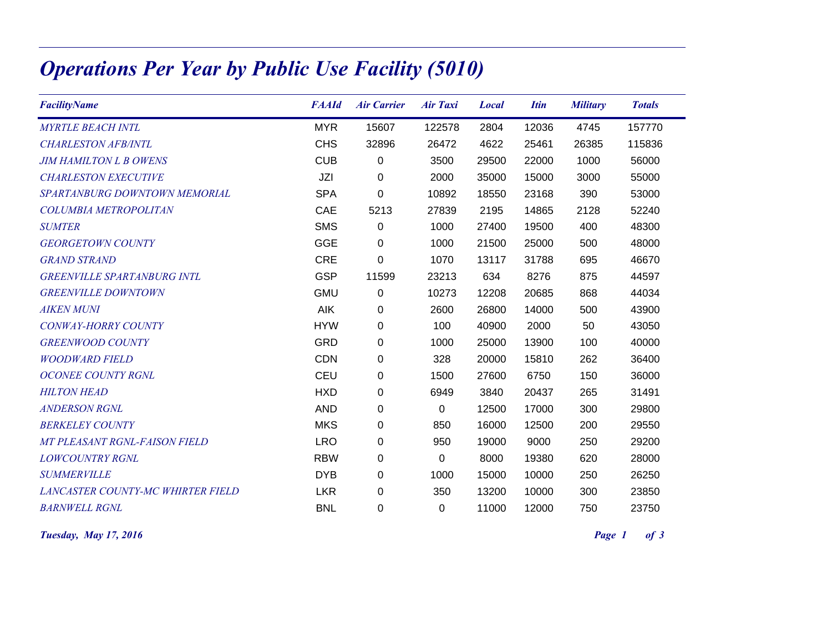## Operations Per Year by Public Use Facility (5010)

| <b>FacilityName</b>                | <b>FAAId</b> | <b>Air Carrier</b> | <b>Air Taxi</b> | <b>Local</b> | <b>Itin</b> | <b>Military</b> | <b>Totals</b> |
|------------------------------------|--------------|--------------------|-----------------|--------------|-------------|-----------------|---------------|
| <b>MYRTLE BEACH INTL</b>           | <b>MYR</b>   | 15607              | 122578          | 2804         | 12036       | 4745            | 157770        |
| <b>CHARLESTON AFB/INTL</b>         | <b>CHS</b>   | 32896              | 26472           | 4622         | 25461       | 26385           | 115836        |
| <b>JIM HAMILTON L B OWENS</b>      | <b>CUB</b>   | 0                  | 3500            | 29500        | 22000       | 1000            | 56000         |
| <b>CHARLESTON EXECUTIVE</b>        | JZI          | 0                  | 2000            | 35000        | 15000       | 3000            | 55000         |
| SPARTANBURG DOWNTOWN MEMORIAL      | <b>SPA</b>   | 0                  | 10892           | 18550        | 23168       | 390             | 53000         |
| COLUMBIA METROPOLITAN              | CAE          | 5213               | 27839           | 2195         | 14865       | 2128            | 52240         |
| <b>SUMTER</b>                      | <b>SMS</b>   | 0                  | 1000            | 27400        | 19500       | 400             | 48300         |
| <b>GEORGETOWN COUNTY</b>           | <b>GGE</b>   | 0                  | 1000            | 21500        | 25000       | 500             | 48000         |
| <b>GRAND STRAND</b>                | <b>CRE</b>   | 0                  | 1070            | 13117        | 31788       | 695             | 46670         |
| <b>GREENVILLE SPARTANBURG INTL</b> | <b>GSP</b>   | 11599              | 23213           | 634          | 8276        | 875             | 44597         |
| <b>GREENVILLE DOWNTOWN</b>         | <b>GMU</b>   | 0                  | 10273           | 12208        | 20685       | 868             | 44034         |
| <b>AIKEN MUNI</b>                  | AIK          | 0                  | 2600            | 26800        | 14000       | 500             | 43900         |
| CONWAY-HORRY COUNTY                | <b>HYW</b>   | 0                  | 100             | 40900        | 2000        | 50              | 43050         |
| <b>GREENWOOD COUNTY</b>            | <b>GRD</b>   | 0                  | 1000            | 25000        | 13900       | 100             | 40000         |
| <b>WOODWARD FIELD</b>              | <b>CDN</b>   | 0                  | 328             | 20000        | 15810       | 262             | 36400         |
| <b>OCONEE COUNTY RGNL</b>          | CEU          | 0                  | 1500            | 27600        | 6750        | 150             | 36000         |
| <b>HILTON HEAD</b>                 | <b>HXD</b>   | 0                  | 6949            | 3840         | 20437       | 265             | 31491         |
| <b>ANDERSON RGNL</b>               | <b>AND</b>   | 0                  | $\pmb{0}$       | 12500        | 17000       | 300             | 29800         |
| <b>BERKELEY COUNTY</b>             | <b>MKS</b>   | 0                  | 850             | 16000        | 12500       | 200             | 29550         |
| MT PLEASANT RGNL-FAISON FIELD      | <b>LRO</b>   | 0                  | 950             | 19000        | 9000        | 250             | 29200         |
| <b>LOWCOUNTRY RGNL</b>             | <b>RBW</b>   | 0                  | 0               | 8000         | 19380       | 620             | 28000         |
| <b>SUMMERVILLE</b>                 | <b>DYB</b>   | 0                  | 1000            | 15000        | 10000       | 250             | 26250         |
| LANCASTER COUNTY-MC WHIRTER FIELD  | <b>LKR</b>   | 0                  | 350             | 13200        | 10000       | 300             | 23850         |
| <b>BARNWELL RGNL</b>               | <b>BNL</b>   | 0                  | 0               | 11000        | 12000       | 750             | 23750         |

**Tuesday, May 17, 2016** Page 1 of 3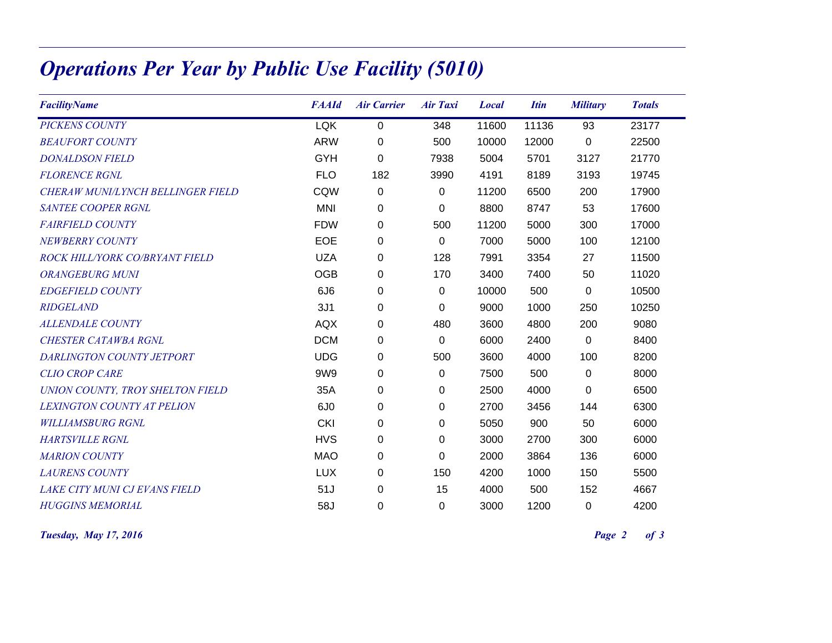## Operations Per Year by Public Use Facility (5010)

| <b>FacilityName</b>               | <b>FAAId</b>    | <b>Air Carrier</b> | <b>Air Taxi</b> | <b>Local</b> | <b>Itin</b> | <b>Military</b> | <b>Totals</b> |
|-----------------------------------|-----------------|--------------------|-----------------|--------------|-------------|-----------------|---------------|
| <b>PICKENS COUNTY</b>             | <b>LQK</b>      | 0                  | 348             | 11600        | 11136       | 93              | 23177         |
| <b>BEAUFORT COUNTY</b>            | <b>ARW</b>      | 0                  | 500             | 10000        | 12000       | 0               | 22500         |
| <b>DONALDSON FIELD</b>            | <b>GYH</b>      | $\boldsymbol{0}$   | 7938            | 5004         | 5701        | 3127            | 21770         |
| <b>FLORENCE RGNL</b>              | <b>FLO</b>      | 182                | 3990            | 4191         | 8189        | 3193            | 19745         |
| CHERAW MUNI/LYNCH BELLINGER FIELD | CQW             | $\mathbf 0$        | $\pmb{0}$       | 11200        | 6500        | 200             | 17900         |
| <b>SANTEE COOPER RGNL</b>         | <b>MNI</b>      | $\mathbf 0$        | 0               | 8800         | 8747        | 53              | 17600         |
| <b>FAIRFIELD COUNTY</b>           | <b>FDW</b>      | 0                  | 500             | 11200        | 5000        | 300             | 17000         |
| NEWBERRY COUNTY                   | <b>EOE</b>      | 0                  | $\Omega$        | 7000         | 5000        | 100             | 12100         |
| ROCK HILL/YORK CO/BRYANT FIELD    | <b>UZA</b>      | 0                  | 128             | 7991         | 3354        | 27              | 11500         |
| <b>ORANGEBURG MUNI</b>            | <b>OGB</b>      | 0                  | 170             | 3400         | 7400        | 50              | 11020         |
| <b>EDGEFIELD COUNTY</b>           | 6J <sub>6</sub> | 0                  | 0               | 10000        | 500         | 0               | 10500         |
| <b>RIDGELAND</b>                  | 3J1             | $\mathbf 0$        | $\Omega$        | 9000         | 1000        | 250             | 10250         |
| <b>ALLENDALE COUNTY</b>           | <b>AQX</b>      | 0                  | 480             | 3600         | 4800        | 200             | 9080          |
| <b>CHESTER CATAWBA RGNL</b>       | <b>DCM</b>      | 0                  | 0               | 6000         | 2400        | 0               | 8400          |
| DARLINGTON COUNTY JETPORT         | <b>UDG</b>      | 0                  | 500             | 3600         | 4000        | 100             | 8200          |
| <b>CLIO CROP CARE</b>             | 9W9             | 0                  | $\Omega$        | 7500         | 500         | 0               | 8000          |
| UNION COUNTY, TROY SHELTON FIELD  | 35A             | 0                  | 0               | 2500         | 4000        | $\Omega$        | 6500          |
| <b>LEXINGTON COUNTY AT PELION</b> | 6J <sub>0</sub> | 0                  | 0               | 2700         | 3456        | 144             | 6300          |
| <b>WILLIAMSBURG RGNL</b>          | <b>CKI</b>      | 0                  | 0               | 5050         | 900         | 50              | 6000          |
| <b>HARTSVILLE RGNL</b>            | <b>HVS</b>      | $\mathbf 0$        | 0               | 3000         | 2700        | 300             | 6000          |
| <b>MARION COUNTY</b>              | <b>MAO</b>      | $\mathbf 0$        | $\Omega$        | 2000         | 3864        | 136             | 6000          |
| <b>LAURENS COUNTY</b>             | <b>LUX</b>      | 0                  | 150             | 4200         | 1000        | 150             | 5500          |
| LAKE CITY MUNI CJ EVANS FIELD     | 51J             | 0                  | 15              | 4000         | 500         | 152             | 4667          |
| <b>HUGGINS MEMORIAL</b>           | 58J             | 0                  | 0               | 3000         | 1200        | 0               | 4200          |

**Tuesday, May 17, 2016** Page 2 of 3